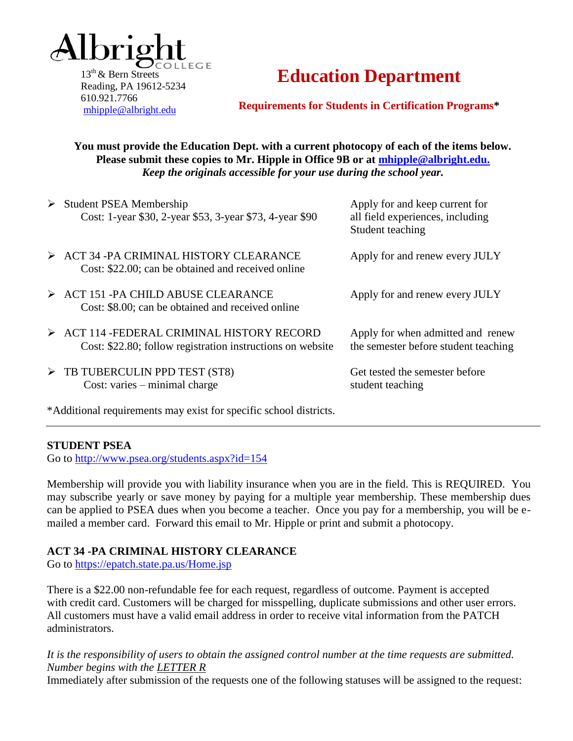

 $13<sup>th</sup>$  & Bern Streets Reading, PA 19612-5234 610.921.7766 [mhipple@albright.edu](mailto:mhipple@albright.edu)

# **Education Department**

**Requirements for Students in Certification Programs\***

**You must provide the Education Dept. with a current photocopy of each of the items below. Please submit these copies to Mr. Hipple in Office 9B [or at mhipple@albright.edu.](mailto:or%20at%20mhipple@albright.edu.)** *Keep the originals accessible for your use during the school year.*

| <b>Student PSEA Membership</b><br>Cost: 1-year \$30, 2-year \$53, 3-year \$73, 4-year \$90                               | Apply for and keep current for<br>all field experiences, including<br>Student teaching |
|--------------------------------------------------------------------------------------------------------------------------|----------------------------------------------------------------------------------------|
| $\triangleright$ ACT 34 -PA CRIMINAL HISTORY CLEARANCE<br>Cost: \$22.00; can be obtained and received online             | Apply for and renew every JULY                                                         |
| $\triangleright$ ACT 151 - PA CHILD ABUSE CLEARANCE<br>Cost: \$8.00; can be obtained and received online                 | Apply for and renew every JULY                                                         |
| $\triangleright$ ACT 114 - FEDERAL CRIMINAL HISTORY RECORD<br>Cost: \$22.80; follow registration instructions on website | Apply for when admitted and renew<br>the semester before student teaching              |
| $\triangleright$ TB TUBERCULIN PPD TEST (ST8)<br>Cost: varies $-$ minimal charge                                         | Get tested the semester before<br>student teaching                                     |

\*Additional requirements may exist for specific school districts.

#### **STUDENT PSEA**

Go to<http://www.psea.org/students.aspx?id=154>

Membership will provide you with liability insurance when you are in the field. This is REQUIRED. You may subscribe yearly or save money by paying for a multiple year membership. These membership dues can be applied to PSEA dues when you become a teacher. Once you pay for a membership, you will be emailed a member card. Forward this email to Mr. Hipple or print and submit a photocopy.

## **ACT 34 -PA CRIMINAL HISTORY CLEARANCE**

Go to<https://epatch.state.pa.us/Home.jsp>

There is a \$22.00 non-refundable fee for each request, regardless of outcome. Payment is accepted with credit card. Customers will be charged for misspelling, duplicate submissions and other user errors. All customers must have a valid email address in order to receive vital information from the PATCH administrators.

*It is the responsibility of users to obtain the assigned control number at the time requests are submitted. Number begins with the LETTER R*

Immediately after submission of the requests one of the following statuses will be assigned to the request: